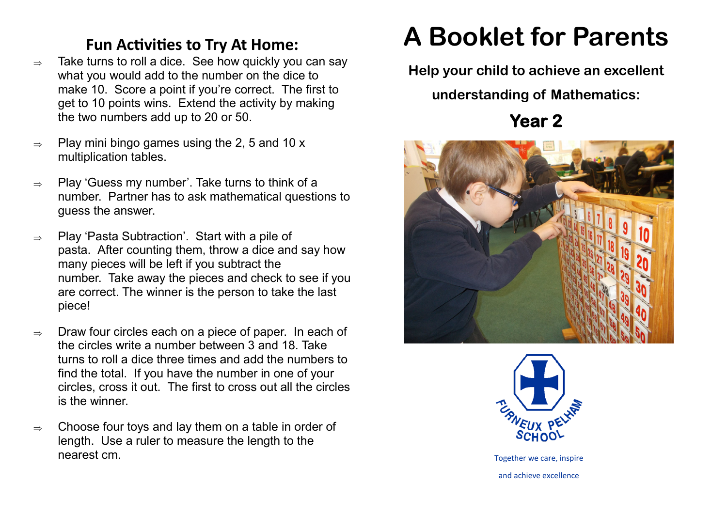## **Fun Activities to Try At Home:**

- $\Rightarrow$  Take turns to roll a dice. See how quickly you can say what you would add to the number on the dice to make 10. Score a point if you're correct. The first to get to 10 points wins. Extend the activity by making the two numbers add up to 20 or 50.
- $\Rightarrow$  Play mini bingo games using the 2, 5 and 10 x multiplication tables.
- $\Rightarrow$  Play 'Guess my number'. Take turns to think of a number. Partner has to ask mathematical questions to guess the answer.
- $\Rightarrow$  Play 'Pasta Subtraction'. Start with a pile of pasta. After counting them, throw a dice and say how many pieces will be left if you subtract the number. Take away the pieces and check to see if you are correct. The winner is the person to take the last piece!
- $\Rightarrow$  Draw four circles each on a piece of paper. In each of the circles write a number between 3 and 18. Take turns to roll a dice three times and add the numbers to find the total. If you have the number in one of your circles, cross it out. The first to cross out all the circles is the winner.
- $\Rightarrow$  Choose four toys and lay them on a table in order of length. Use a ruler to measure the length to the nearest cm.

## **A Booklet for Parents**

**Help your child to achieve an excellent** 

**understanding of Mathematics:**

**Year 2** 





Together we care, inspire and achieve excellence